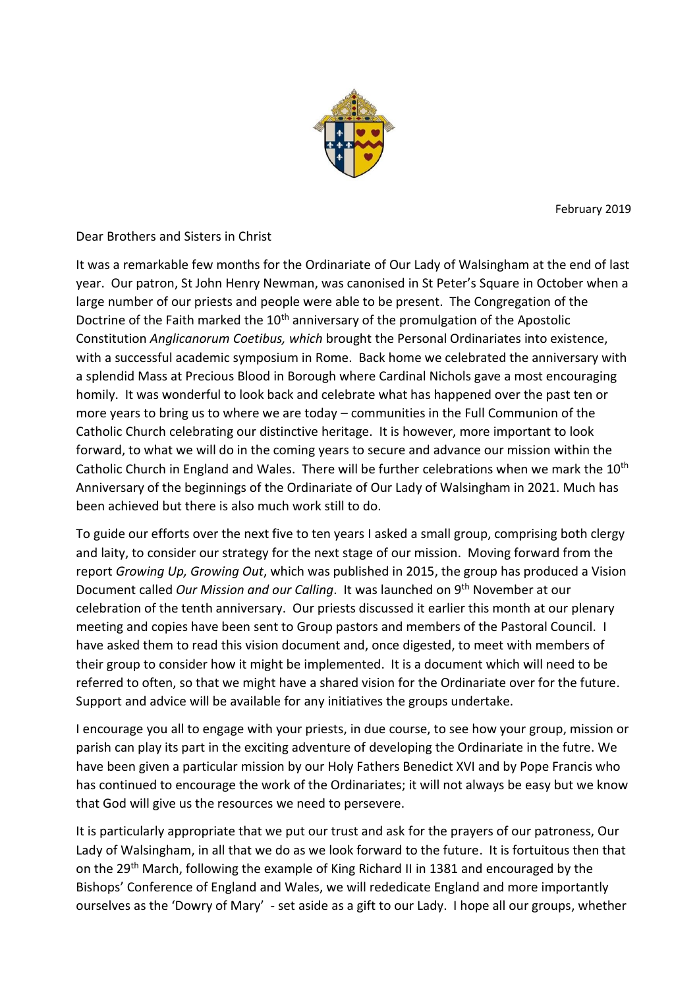

February 2019

Dear Brothers and Sisters in Christ

It was a remarkable few months for the Ordinariate of Our Lady of Walsingham at the end of last year. Our patron, St John Henry Newman, was canonised in St Peter's Square in October when a large number of our priests and people were able to be present. The Congregation of the Doctrine of the Faith marked the 10<sup>th</sup> anniversary of the promulgation of the Apostolic Constitution *Anglicanorum Coetibus, which* brought the Personal Ordinariates into existence, with a successful academic symposium in Rome. Back home we celebrated the anniversary with a splendid Mass at Precious Blood in Borough where Cardinal Nichols gave a most encouraging homily. It was wonderful to look back and celebrate what has happened over the past ten or more years to bring us to where we are today – communities in the Full Communion of the Catholic Church celebrating our distinctive heritage. It is however, more important to look forward, to what we will do in the coming years to secure and advance our mission within the Catholic Church in England and Wales. There will be further celebrations when we mark the 10<sup>th</sup> Anniversary of the beginnings of the Ordinariate of Our Lady of Walsingham in 2021. Much has been achieved but there is also much work still to do.

To guide our efforts over the next five to ten years I asked a small group, comprising both clergy and laity, to consider our strategy for the next stage of our mission. Moving forward from the report *Growing Up, Growing Out*, which was published in 2015, the group has produced a Vision Document called *Our Mission and our Calling*. It was launched on 9th November at our celebration of the tenth anniversary. Our priests discussed it earlier this month at our plenary meeting and copies have been sent to Group pastors and members of the Pastoral Council. I have asked them to read this vision document and, once digested, to meet with members of their group to consider how it might be implemented. It is a document which will need to be referred to often, so that we might have a shared vision for the Ordinariate over for the future. Support and advice will be available for any initiatives the groups undertake.

I encourage you all to engage with your priests, in due course, to see how your group, mission or parish can play its part in the exciting adventure of developing the Ordinariate in the futre. We have been given a particular mission by our Holy Fathers Benedict XVI and by Pope Francis who has continued to encourage the work of the Ordinariates; it will not always be easy but we know that God will give us the resources we need to persevere.

It is particularly appropriate that we put our trust and ask for the prayers of our patroness, Our Lady of Walsingham, in all that we do as we look forward to the future. It is fortuitous then that on the 29<sup>th</sup> March, following the example of King Richard II in 1381 and encouraged by the Bishops' Conference of England and Wales, we will rededicate England and more importantly ourselves as the 'Dowry of Mary' - set aside as a gift to our Lady. I hope all our groups, whether